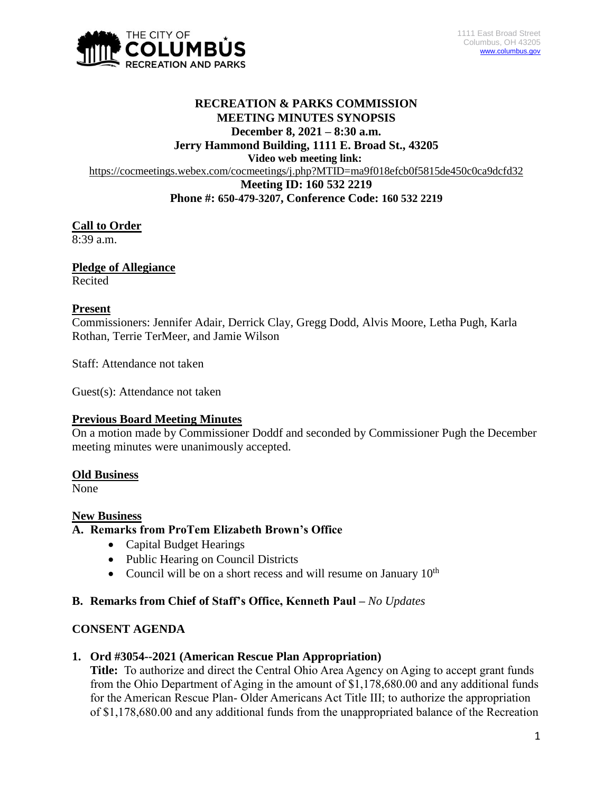

# **RECREATION & PARKS COMMISSION MEETING MINUTES SYNOPSIS December 8, 2021 – 8:30 a.m. Jerry Hammond Building, 1111 E. Broad St., 43205 Video web meeting link:** <https://cocmeetings.webex.com/cocmeetings/j.php?MTID=ma9f018efcb0f5815de450c0ca9dcfd32> **Meeting ID: 160 532 2219 Phone #: 650-479-3207, Conference Code: 160 532 2219**

# **Call to Order**

8:39 a.m.

## **Pledge of Allegiance**

Recited

## **Present**

Commissioners: Jennifer Adair, Derrick Clay, Gregg Dodd, Alvis Moore, Letha Pugh, Karla Rothan, Terrie TerMeer, and Jamie Wilson

Staff: Attendance not taken

Guest(s): Attendance not taken

## **Previous Board Meeting Minutes**

On a motion made by Commissioner Doddf and seconded by Commissioner Pugh the December meeting minutes were unanimously accepted.

## **Old Business**

None

#### **New Business**

## **A. Remarks from ProTem Elizabeth Brown's Office**

- Capital Budget Hearings
- Public Hearing on Council Districts
- Council will be on a short recess and will resume on January  $10<sup>th</sup>$

## **B. Remarks from Chief of Staff's Office, Kenneth Paul –** *No Updates*

#### **CONSENT AGENDA**

#### **1. Ord #3054--2021 (American Rescue Plan Appropriation)**

**Title:** To authorize and direct the Central Ohio Area Agency on Aging to accept grant funds from the Ohio Department of Aging in the amount of \$1,178,680.00 and any additional funds for the American Rescue Plan- Older Americans Act Title III; to authorize the appropriation of \$1,178,680.00 and any additional funds from the unappropriated balance of the Recreation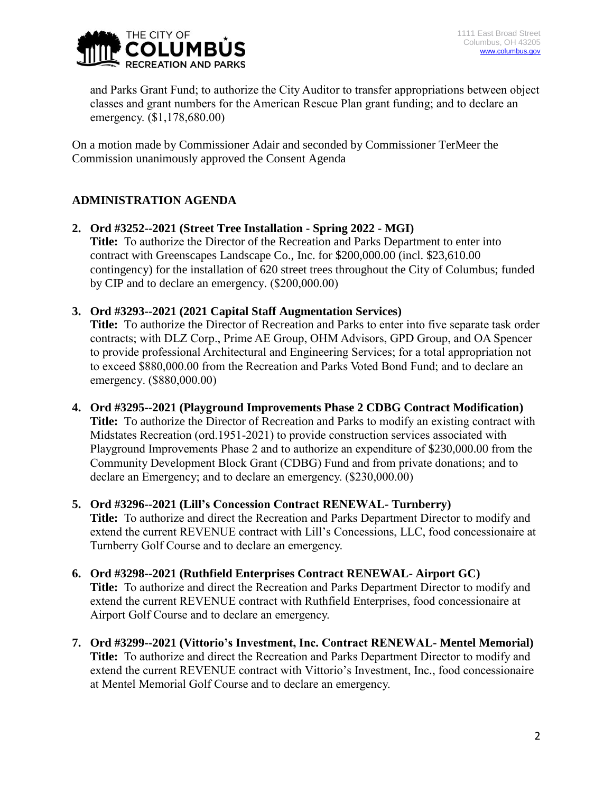

and Parks Grant Fund; to authorize the City Auditor to transfer appropriations between object classes and grant numbers for the American Rescue Plan grant funding; and to declare an emergency. (\$1,178,680.00)

On a motion made by Commissioner Adair and seconded by Commissioner TerMeer the Commission unanimously approved the Consent Agenda

# **ADMINISTRATION AGENDA**

- **2. Ord #3252--2021 (Street Tree Installation - Spring 2022 - MGI) Title:** To authorize the Director of the Recreation and Parks Department to enter into contract with Greenscapes Landscape Co., Inc. for \$200,000.00 (incl. \$23,610.00 contingency) for the installation of 620 street trees throughout the City of Columbus; funded by CIP and to declare an emergency. (\$200,000.00)
- **3. Ord #3293--2021 (2021 Capital Staff Augmentation Services)**

**Title:** To authorize the Director of Recreation and Parks to enter into five separate task order contracts; with DLZ Corp., Prime AE Group, OHM Advisors, GPD Group, and OA Spencer to provide professional Architectural and Engineering Services; for a total appropriation not to exceed \$880,000.00 from the Recreation and Parks Voted Bond Fund; and to declare an emergency. (\$880,000.00)

- **4. Ord #3295--2021 (Playground Improvements Phase 2 CDBG Contract Modification) Title:** To authorize the Director of Recreation and Parks to modify an existing contract with Midstates Recreation (ord.1951-2021) to provide construction services associated with Playground Improvements Phase 2 and to authorize an expenditure of \$230,000.00 from the Community Development Block Grant (CDBG) Fund and from private donations; and to declare an Emergency; and to declare an emergency. (\$230,000.00)
- **5. Ord #3296--2021 (Lill's Concession Contract RENEWAL- Turnberry) Title:** To authorize and direct the Recreation and Parks Department Director to modify and extend the current REVENUE contract with Lill's Concessions, LLC, food concessionaire at Turnberry Golf Course and to declare an emergency.
- **6. Ord #3298--2021 (Ruthfield Enterprises Contract RENEWAL- Airport GC) Title:** To authorize and direct the Recreation and Parks Department Director to modify and extend the current REVENUE contract with Ruthfield Enterprises, food concessionaire at Airport Golf Course and to declare an emergency.
- **7. Ord #3299--2021 (Vittorio's Investment, Inc. Contract RENEWAL- Mentel Memorial) Title:** To authorize and direct the Recreation and Parks Department Director to modify and extend the current REVENUE contract with Vittorio's Investment, Inc., food concessionaire at Mentel Memorial Golf Course and to declare an emergency.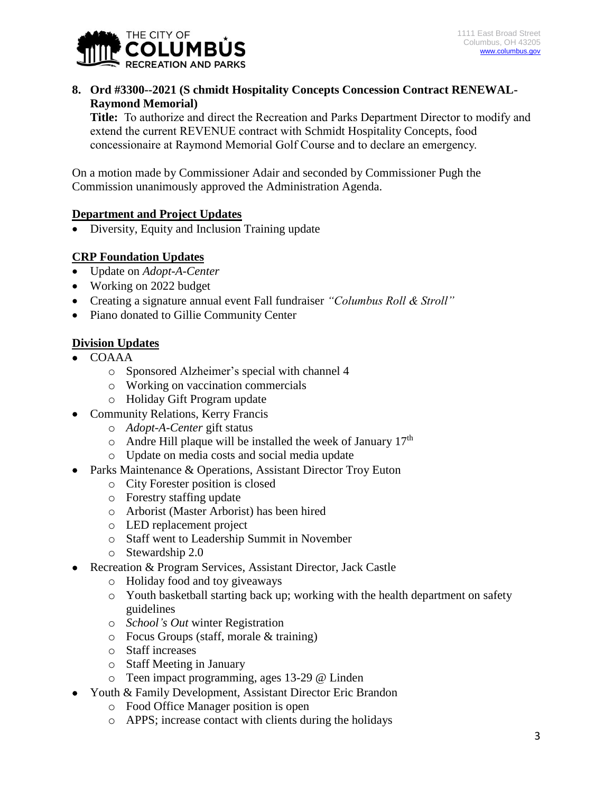

# **8. Ord #3300--2021 (S chmidt Hospitality Concepts Concession Contract RENEWAL-Raymond Memorial)**

**Title:** To authorize and direct the Recreation and Parks Department Director to modify and extend the current REVENUE contract with Schmidt Hospitality Concepts, food concessionaire at Raymond Memorial Golf Course and to declare an emergency.

On a motion made by Commissioner Adair and seconded by Commissioner Pugh the Commission unanimously approved the Administration Agenda.

## **Department and Project Updates**

Diversity, Equity and Inclusion Training update

## **CRP Foundation Updates**

- Update on *Adopt-A-Center*
- Working on 2022 budget
- Creating a signature annual event Fall fundraiser *"Columbus Roll & Stroll"*
- Piano donated to Gillie Community Center

## **Division Updates**

- COAAA
	- o Sponsored Alzheimer's special with channel 4
	- o Working on vaccination commercials
	- o Holiday Gift Program update
- Community Relations, Kerry Francis
	- o *Adopt-A-Center* gift status
	- $\circ$  Andre Hill plaque will be installed the week of January 17<sup>th</sup>
	- o Update on media costs and social media update
- Parks Maintenance & Operations, Assistant Director Troy Euton
	- o City Forester position is closed
	- o Forestry staffing update
	- o Arborist (Master Arborist) has been hired
	- o LED replacement project
	- o Staff went to Leadership Summit in November
	- o Stewardship 2.0
- Recreation & Program Services, Assistant Director, Jack Castle
	- o Holiday food and toy giveaways
	- o Youth basketball starting back up; working with the health department on safety guidelines
	- o *School's Out* winter Registration
	- o Focus Groups (staff, morale & training)
	- o Staff increases
	- o Staff Meeting in January
	- o Teen impact programming, ages 13-29 @ Linden
- Youth & Family Development, Assistant Director Eric Brandon
	- o Food Office Manager position is open
	- o APPS; increase contact with clients during the holidays